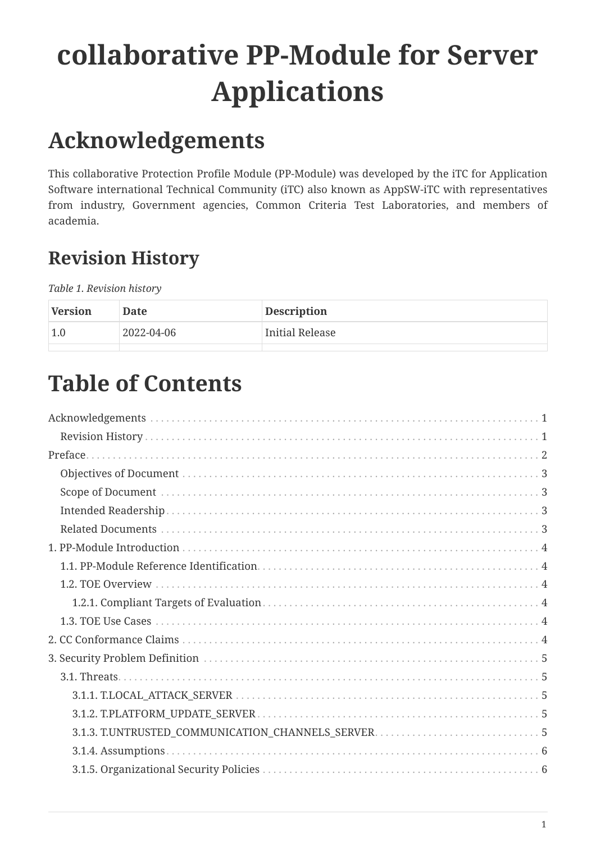# **collaborative PP-Module for Server Applications**

# <span id="page-0-0"></span>**Acknowledgements**

This collaborative Protection Profile Module (PP-Module) was developed by the iTC for Application Software international Technical Community (iTC) also known as AppSW-iTC with representatives from industry, Government agencies, Common Criteria Test Laboratories, and members of academia.

## <span id="page-0-1"></span>**Revision History**

*Table 1. Revision history*

| Version | Date       | <b>Description</b> |
|---------|------------|--------------------|
| 1.0     | 2022-04-06 | Initial Release    |
|         |            |                    |

# **Table of Contents**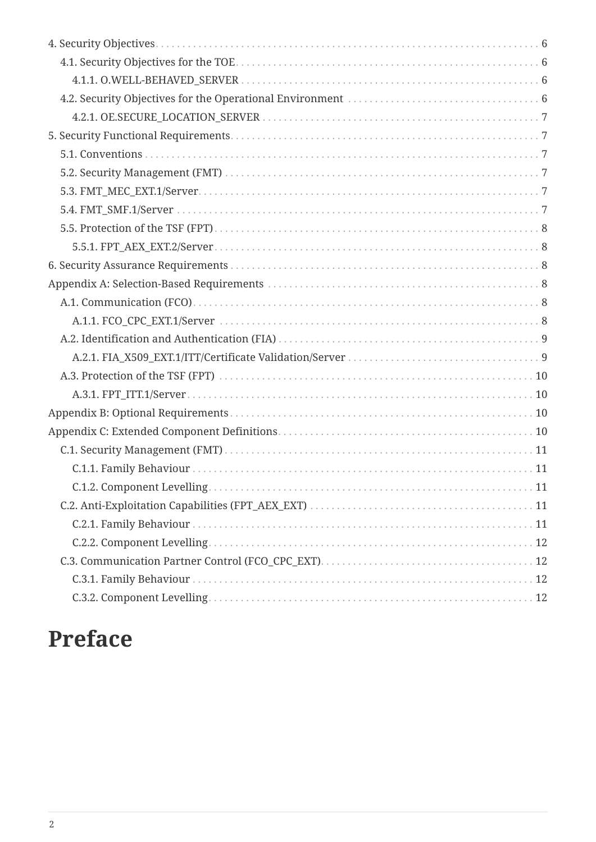| C.1.2. Component Levelling. |  |
|-----------------------------|--|
|                             |  |
|                             |  |
|                             |  |
|                             |  |
|                             |  |
|                             |  |

# <span id="page-1-0"></span>**Preface**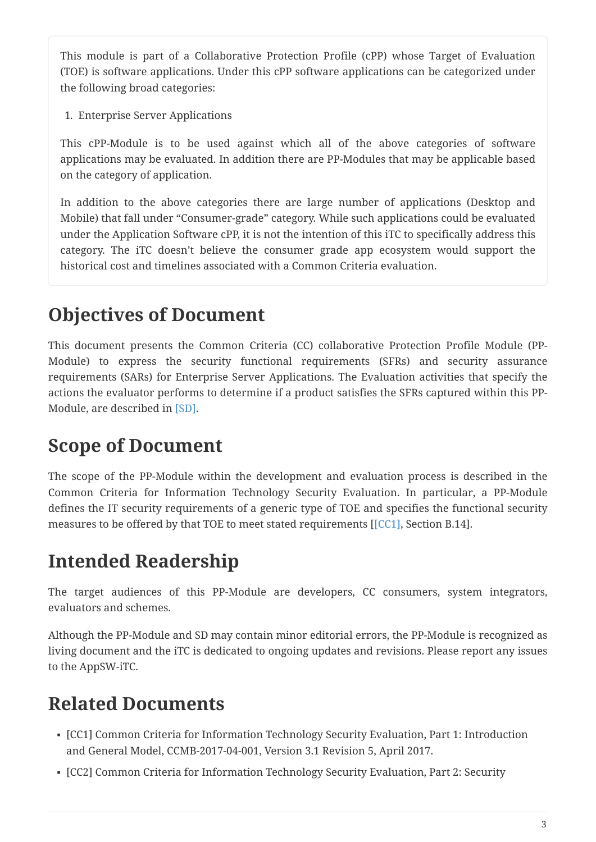This module is part of a Collaborative Protection Profile (cPP) whose Target of Evaluation (TOE) is software applications. Under this cPP software applications can be categorized under the following broad categories:

1. Enterprise Server Applications

This cPP-Module is to be used against which all of the above categories of software applications may be evaluated. In addition there are PP-Modules that may be applicable based on the category of application.

In addition to the above categories there are large number of applications (Desktop and Mobile) that fall under "Consumer-grade" category. While such applications could be evaluated under the Application Software cPP, it is not the intention of this iTC to specifically address this category. The iTC doesn't believe the consumer grade app ecosystem would support the historical cost and timelines associated with a Common Criteria evaluation.

## <span id="page-2-0"></span>**Objectives of Document**

This document presents the Common Criteria (CC) collaborative Protection Profile Module (PP-Module) to express the security functional requirements (SFRs) and security assurance requirements (SARs) for Enterprise Server Applications. The Evaluation activities that specify the actions the evaluator performs to determine if a product satisfies the SFRs captured within this PP-Module, are described in [\[SD\].](#page-3-6)

## <span id="page-2-1"></span>**Scope of Document**

The scope of the PP-Module within the development and evaluation process is described in the Common Criteria for Information Technology Security Evaluation. In particular, a PP-Module defines the IT security requirements of a generic type of TOE and specifies the functional security measures to be offered by that TOE to meet stated requirements [[\[CC1\]](#page-2-4), Section B.14].

## <span id="page-2-2"></span>**Intended Readership**

The target audiences of this PP-Module are developers, CC consumers, system integrators, evaluators and schemes.

Although the PP-Module and SD may contain minor editorial errors, the PP-Module is recognized as living document and the iTC is dedicated to ongoing updates and revisions. Please report any issues to the AppSW-iTC.

## <span id="page-2-3"></span>**Related Documents**

- <span id="page-2-4"></span>▪ [CC1] Common Criteria for Information Technology Security Evaluation, Part 1: Introduction and General Model, CCMB-2017-04-001, Version 3.1 Revision 5, April 2017.
- <span id="page-2-5"></span>▪ [CC2] Common Criteria for Information Technology Security Evaluation, Part 2: Security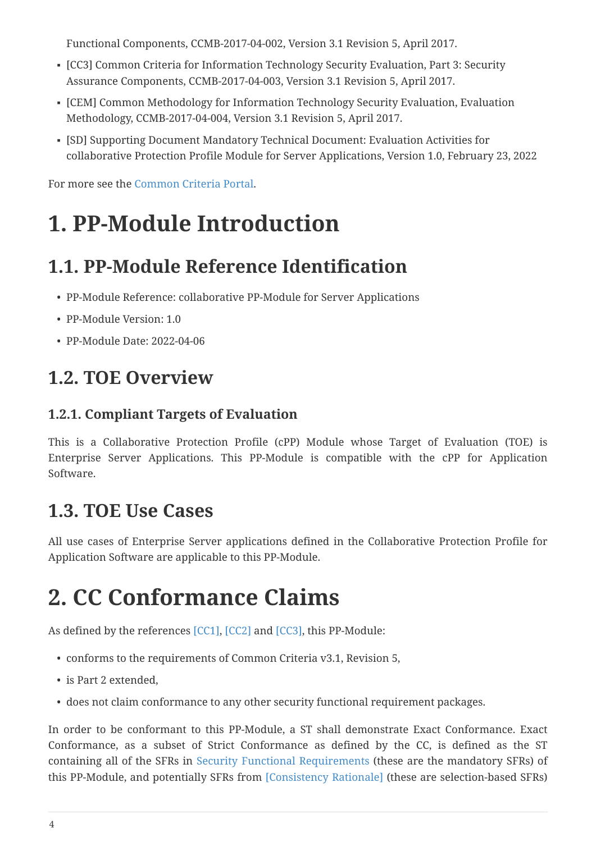Functional Components, CCMB-2017-04-002, Version 3.1 Revision 5, April 2017.

- <span id="page-3-7"></span>▪ [CC3] Common Criteria for Information Technology Security Evaluation, Part 3: Security Assurance Components, CCMB-2017-04-003, Version 3.1 Revision 5, April 2017.
- [CEM] Common Methodology for Information Technology Security Evaluation, Evaluation Methodology, CCMB-2017-04-004, Version 3.1 Revision 5, April 2017.
- <span id="page-3-6"></span>▪ [SD] Supporting Document Mandatory Technical Document: Evaluation Activities for collaborative Protection Profile Module for Server Applications, Version 1.0, February 23, 2022

For more see the [Common Criteria Portal](http://www.commoncriteriaportal.org/).

# <span id="page-3-0"></span>**1. PP-Module Introduction**

## <span id="page-3-1"></span>**1.1. PP-Module Reference Identification**

- PP-Module Reference: collaborative PP-Module for Server Applications
- PP-Module Version: 1.0
- PP-Module Date: 2022-04-06

## <span id="page-3-2"></span>**1.2. TOE Overview**

### <span id="page-3-3"></span>**1.2.1. Compliant Targets of Evaluation**

This is a Collaborative Protection Profile (cPP) Module whose Target of Evaluation (TOE) is Enterprise Server Applications. This PP-Module is compatible with the cPP for Application Software.

### <span id="page-3-4"></span>**1.3. TOE Use Cases**

All use cases of Enterprise Server applications defined in the Collaborative Protection Profile for Application Software are applicable to this PP-Module.

# <span id="page-3-5"></span>**2. CC Conformance Claims**

As defined by the references [\[CC1\]](#page-2-4), [\[CC2\]](#page-2-5) and [\[CC3\],](#page-3-7) this PP-Module:

- conforms to the requirements of Common Criteria v3.1, Revision 5,
- is Part 2 extended,
- does not claim conformance to any other security functional requirement packages.

In order to be conformant to this PP-Module, a ST shall demonstrate Exact Conformance. Exact Conformance, as a subset of Strict Conformance as defined by the CC, is defined as the ST containing all of the SFRs in [Security Functional Requirements](#page-6-1) (these are the mandatory SFRs) of this PP-Module, and potentially SFRs from [Consistency Rationale] (these are selection-based SFRs)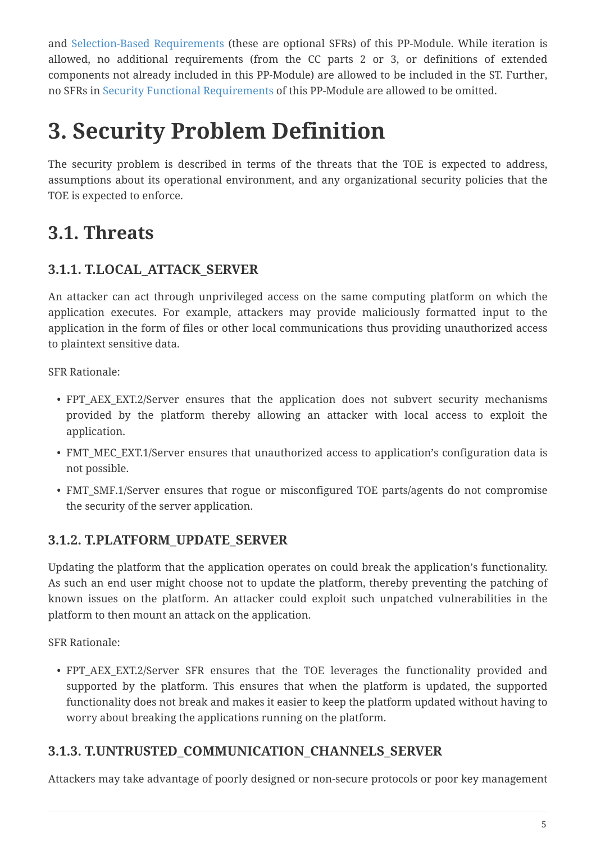and [Selection-Based Requirements](#page-7-3) (these are optional SFRs) of this PP-Module. While iteration is allowed, no additional requirements (from the CC parts 2 or 3, or definitions of extended components not already included in this PP-Module) are allowed to be included in the ST. Further, no SFRs in [Security Functional Requirements](#page-6-1) of this PP-Module are allowed to be omitted.

# <span id="page-4-0"></span>**3. Security Problem Definition**

The security problem is described in terms of the threats that the TOE is expected to address, assumptions about its operational environment, and any organizational security policies that the TOE is expected to enforce.

## <span id="page-4-1"></span>**3.1. Threats**

### <span id="page-4-2"></span>**3.1.1. T.LOCAL\_ATTACK\_SERVER**

An attacker can act through unprivileged access on the same computing platform on which the application executes. For example, attackers may provide maliciously formatted input to the application in the form of files or other local communications thus providing unauthorized access to plaintext sensitive data.

SFR Rationale:

- FPT AEX EXT.2/Server ensures that the application does not subvert security mechanisms provided by the platform thereby allowing an attacker with local access to exploit the application.
- FMT MEC EXT.1/Server ensures that unauthorized access to application's configuration data is not possible.
- FMT SMF.1/Server ensures that rogue or misconfigured TOE parts/agents do not compromise the security of the server application.

### <span id="page-4-3"></span>**3.1.2. T.PLATFORM\_UPDATE\_SERVER**

Updating the platform that the application operates on could break the application's functionality. As such an end user might choose not to update the platform, thereby preventing the patching of known issues on the platform. An attacker could exploit such unpatched vulnerabilities in the platform to then mount an attack on the application.

SFR Rationale:

• FPT\_AEX\_EXT.2/Server SFR ensures that the TOE leverages the functionality provided and supported by the platform. This ensures that when the platform is updated, the supported functionality does not break and makes it easier to keep the platform updated without having to worry about breaking the applications running on the platform.

### <span id="page-4-4"></span>**3.1.3. T.UNTRUSTED\_COMMUNICATION\_CHANNELS\_SERVER**

Attackers may take advantage of poorly designed or non-secure protocols or poor key management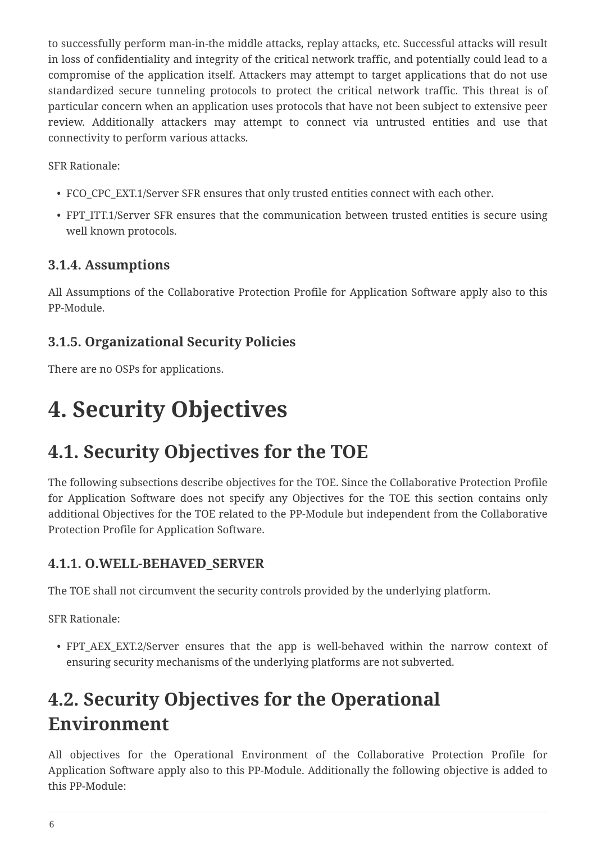to successfully perform man-in-the middle attacks, replay attacks, etc. Successful attacks will result in loss of confidentiality and integrity of the critical network traffic, and potentially could lead to a compromise of the application itself. Attackers may attempt to target applications that do not use standardized secure tunneling protocols to protect the critical network traffic. This threat is of particular concern when an application uses protocols that have not been subject to extensive peer review. Additionally attackers may attempt to connect via untrusted entities and use that connectivity to perform various attacks.

SFR Rationale:

- FCO\_CPC\_EXT.1/Server SFR ensures that only trusted entities connect with each other.
- FPT ITT.1/Server SFR ensures that the communication between trusted entities is secure using well known protocols.

### <span id="page-5-0"></span>**3.1.4. Assumptions**

All Assumptions of the Collaborative Protection Profile for Application Software apply also to this PP-Module.

### <span id="page-5-1"></span>**3.1.5. Organizational Security Policies**

There are no OSPs for applications.

## <span id="page-5-2"></span>**4. Security Objectives**

## <span id="page-5-3"></span>**4.1. Security Objectives for the TOE**

The following subsections describe objectives for the TOE. Since the Collaborative Protection Profile for Application Software does not specify any Objectives for the TOE this section contains only additional Objectives for the TOE related to the PP-Module but independent from the Collaborative Protection Profile for Application Software.

### <span id="page-5-4"></span>**4.1.1. O.WELL-BEHAVED\_SERVER**

The TOE shall not circumvent the security controls provided by the underlying platform.

SFR Rationale:

• FPT AEX EXT.2/Server ensures that the app is well-behaved within the narrow context of ensuring security mechanisms of the underlying platforms are not subverted.

## <span id="page-5-5"></span>**4.2. Security Objectives for the Operational Environment**

All objectives for the Operational Environment of the Collaborative Protection Profile for Application Software apply also to this PP-Module. Additionally the following objective is added to this PP-Module: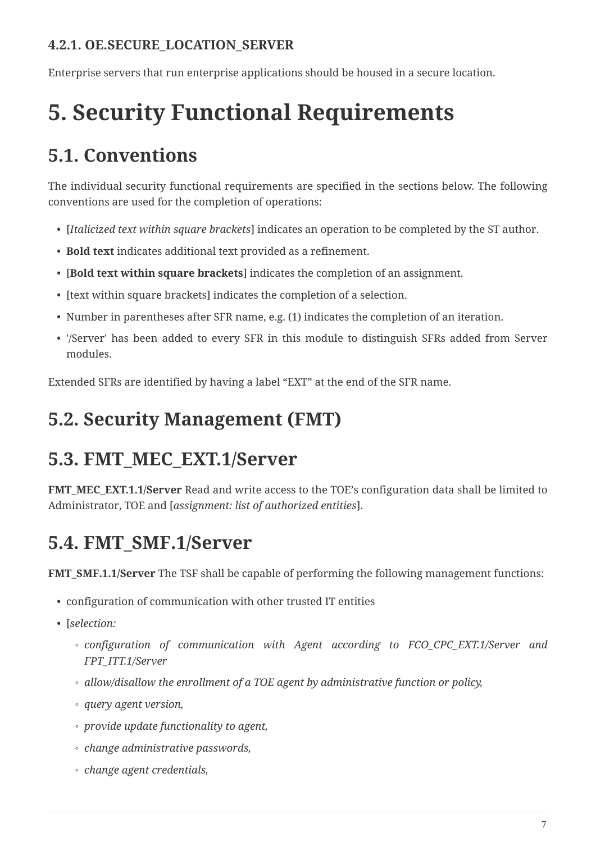### <span id="page-6-0"></span>**4.2.1. OE.SECURE\_LOCATION\_SERVER**

Enterprise servers that run enterprise applications should be housed in a secure location.

# <span id="page-6-1"></span>**5. Security Functional Requirements**

## <span id="page-6-2"></span>**5.1. Conventions**

The individual security functional requirements are specified in the sections below. The following conventions are used for the completion of operations:

- [*Italicized text within square brackets*] indicates an operation to be completed by the ST author.
- **Bold text** indicates additional text provided as a refinement.
- [**Bold text within square brackets**] indicates the completion of an assignment.
- [text within square brackets] indicates the completion of a selection.
- Number in parentheses after SFR name, e.g. (1) indicates the completion of an iteration.
- '/Server' has been added to every SFR in this module to distinguish SFRs added from Server modules.

Extended SFRs are identified by having a label "EXT" at the end of the SFR name.

## <span id="page-6-3"></span>**5.2. Security Management (FMT)**

## <span id="page-6-4"></span>**5.3. FMT\_MEC\_EXT.1/Server**

**FMT\_MEC\_EXT.1.1/Server** Read and write access to the TOE's configuration data shall be limited to Administrator, TOE and [*assignment: list of authorized entities*].

## <span id="page-6-5"></span>**5.4. FMT\_SMF.1/Server**

**FMT\_SMF.1.1/Server** The TSF shall be capable of performing the following management functions:

- configuration of communication with other trusted IT entities
- [*selection:*
	- *configuration of communication with Agent according to FCO\_CPC\_EXT.1/Server and FPT\_ITT.1/Server*
	- *allow/disallow the enrollment of a TOE agent by administrative function or policy,*
	- *query agent version,*
	- *provide update functionality to agent,*
	- *change administrative passwords,*
	- *change agent credentials,*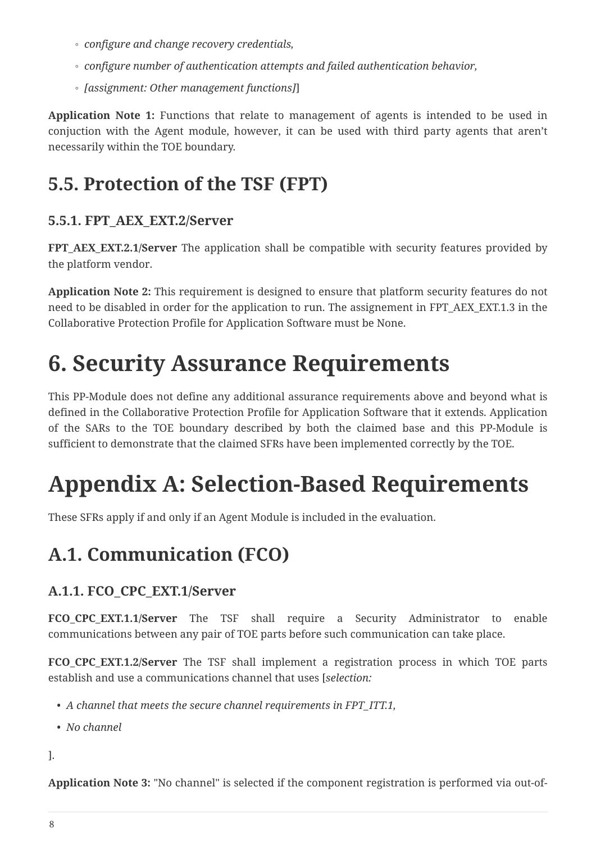- *configure and change recovery credentials,*
- *configure number of authentication attempts and failed authentication behavior,*
- *[assignment: Other management functions]*]

**Application Note 1:** Functions that relate to management of agents is intended to be used in conjuction with the Agent module, however, it can be used with third party agents that aren't necessarily within the TOE boundary.

## <span id="page-7-0"></span>**5.5. Protection of the TSF (FPT)**

### <span id="page-7-1"></span>**5.5.1. FPT\_AEX\_EXT.2/Server**

**FPT\_AEX\_EXT.2.1/Server** The application shall be compatible with security features provided by the platform vendor.

**Application Note 2:** This requirement is designed to ensure that platform security features do not need to be disabled in order for the application to run. The assignement in FPT\_AEX\_EXT.1.3 in the Collaborative Protection Profile for Application Software must be None.

# <span id="page-7-2"></span>**6. Security Assurance Requirements**

This PP-Module does not define any additional assurance requirements above and beyond what is defined in the Collaborative Protection Profile for Application Software that it extends. Application of the SARs to the TOE boundary described by both the claimed base and this PP-Module is sufficient to demonstrate that the claimed SFRs have been implemented correctly by the TOE.

# <span id="page-7-3"></span>**Appendix A: Selection-Based Requirements**

These SFRs apply if and only if an Agent Module is included in the evaluation.

## <span id="page-7-4"></span>**A.1. Communication (FCO)**

### <span id="page-7-5"></span>**A.1.1. FCO\_CPC\_EXT.1/Server**

**FCO CPC EXT.1.1/Server** The TSF shall require a Security Administrator to enable communications between any pair of TOE parts before such communication can take place.

**FCO\_CPC\_EXT.1.2/Server** The TSF shall implement a registration process in which TOE parts establish and use a communications channel that uses [*selection:*

- *A channel that meets the secure channel requirements in FPT\_ITT.1,*
- *No channel*

].

**Application Note 3:** "No channel" is selected if the component registration is performed via out-of-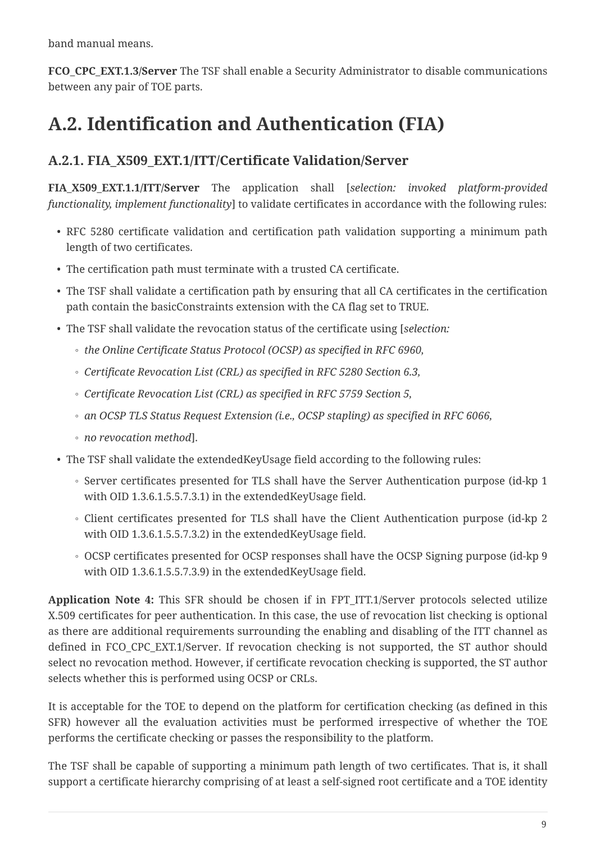band manual means.

**FCO\_CPC\_EXT.1.3/Server** The TSF shall enable a Security Administrator to disable communications between any pair of TOE parts.

## <span id="page-8-0"></span>**A.2. Identification and Authentication (FIA)**

### <span id="page-8-1"></span>**A.2.1. FIA\_X509\_EXT.1/ITT/Certificate Validation/Server**

**FIA\_X509\_EXT.1.1/ITT/Server** The application shall [*selection: invoked platform-provided functionality, implement functionality*] to validate certificates in accordance with the following rules:

- RFC 5280 certificate validation and certification path validation supporting a minimum path length of two certificates.
- The certification path must terminate with a trusted CA certificate.
- The TSF shall validate a certification path by ensuring that all CA certificates in the certification path contain the basicConstraints extension with the CA flag set to TRUE.
- The TSF shall validate the revocation status of the certificate using [*selection:*
	- *the Online Certificate Status Protocol (OCSP) as specified in RFC 6960,*
	- *Certificate Revocation List (CRL) as specified in RFC 5280 Section 6.3,*
	- *Certificate Revocation List (CRL) as specified in RFC 5759 Section 5,*
	- *an OCSP TLS Status Request Extension (i.e., OCSP stapling) as specified in RFC 6066,*
	- *no revocation method*].
- The TSF shall validate the extendedKeyUsage field according to the following rules:
	- Server certificates presented for TLS shall have the Server Authentication purpose (id-kp 1 with OID 1.3.6.1.5.5.7.3.1) in the extendedKeyUsage field.
	- Client certificates presented for TLS shall have the Client Authentication purpose (id-kp 2 with OID 1.3.6.1.5.5.7.3.2) in the extendedKeyUsage field.
	- OCSP certificates presented for OCSP responses shall have the OCSP Signing purpose (id-kp 9 with OID 1.3.6.1.5.5.7.3.9) in the extendedKeyUsage field.

**Application Note 4:** This SFR should be chosen if in FPT\_ITT.1/Server protocols selected utilize X.509 certificates for peer authentication. In this case, the use of revocation list checking is optional as there are additional requirements surrounding the enabling and disabling of the ITT channel as defined in FCO\_CPC\_EXT.1/Server. If revocation checking is not supported, the ST author should select no revocation method. However, if certificate revocation checking is supported, the ST author selects whether this is performed using OCSP or CRLs.

It is acceptable for the TOE to depend on the platform for certification checking (as defined in this SFR) however all the evaluation activities must be performed irrespective of whether the TOE performs the certificate checking or passes the responsibility to the platform.

The TSF shall be capable of supporting a minimum path length of two certificates. That is, it shall support a certificate hierarchy comprising of at least a self-signed root certificate and a TOE identity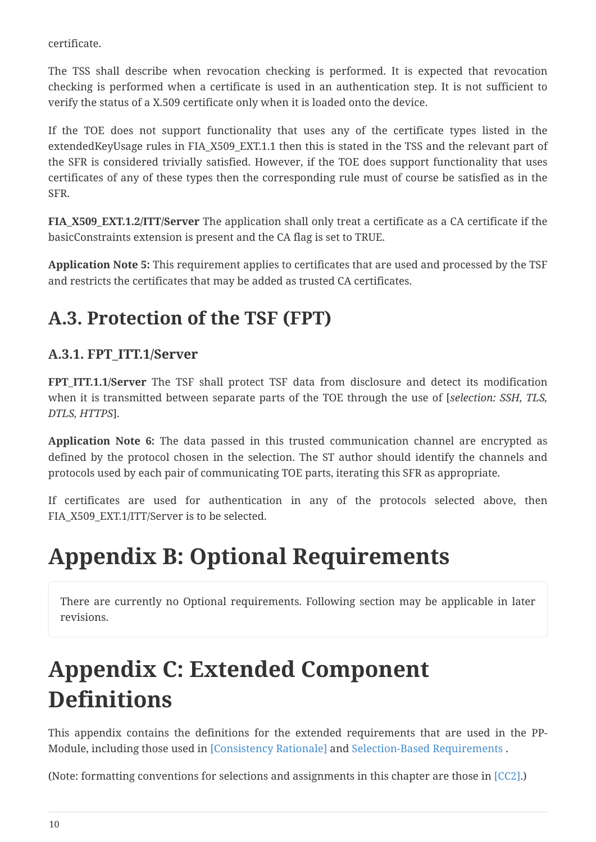certificate.

The TSS shall describe when revocation checking is performed. It is expected that revocation checking is performed when a certificate is used in an authentication step. It is not sufficient to verify the status of a X.509 certificate only when it is loaded onto the device.

If the TOE does not support functionality that uses any of the certificate types listed in the extendedKeyUsage rules in FIA\_X509\_EXT.1.1 then this is stated in the TSS and the relevant part of the SFR is considered trivially satisfied. However, if the TOE does support functionality that uses certificates of any of these types then the corresponding rule must of course be satisfied as in the SFR.

**FIA\_X509\_EXT.1.2/ITT/Server** The application shall only treat a certificate as a CA certificate if the basicConstraints extension is present and the CA flag is set to TRUE.

**Application Note 5:** This requirement applies to certificates that are used and processed by the TSF and restricts the certificates that may be added as trusted CA certificates.

## <span id="page-9-0"></span>**A.3. Protection of the TSF (FPT)**

### <span id="page-9-1"></span>**A.3.1. FPT\_ITT.1/Server**

**FPT\_ITT.1.1/Server** The TSF shall protect TSF data from disclosure and detect its modification when it is transmitted between separate parts of the TOE through the use of [*selection: SSH, TLS, DTLS, HTTPS*].

**Application Note 6:** The data passed in this trusted communication channel are encrypted as defined by the protocol chosen in the selection. The ST author should identify the channels and protocols used by each pair of communicating TOE parts, iterating this SFR as appropriate.

If certificates are used for authentication in any of the protocols selected above, then FIA\_X509\_EXT.1/ITT/Server is to be selected.

# <span id="page-9-2"></span>**Appendix B: Optional Requirements**

There are currently no Optional requirements. Following section may be applicable in later revisions.

# <span id="page-9-3"></span>**Appendix C: Extended Component Definitions**

This appendix contains the definitions for the extended requirements that are used in the PP-Module, including those used in [Consistency Rationale] and [Selection-Based Requirements](#page-7-3) .

(Note: formatting conventions for selections and assignments in this chapter are those in [\[CC2\]](#page-2-5).)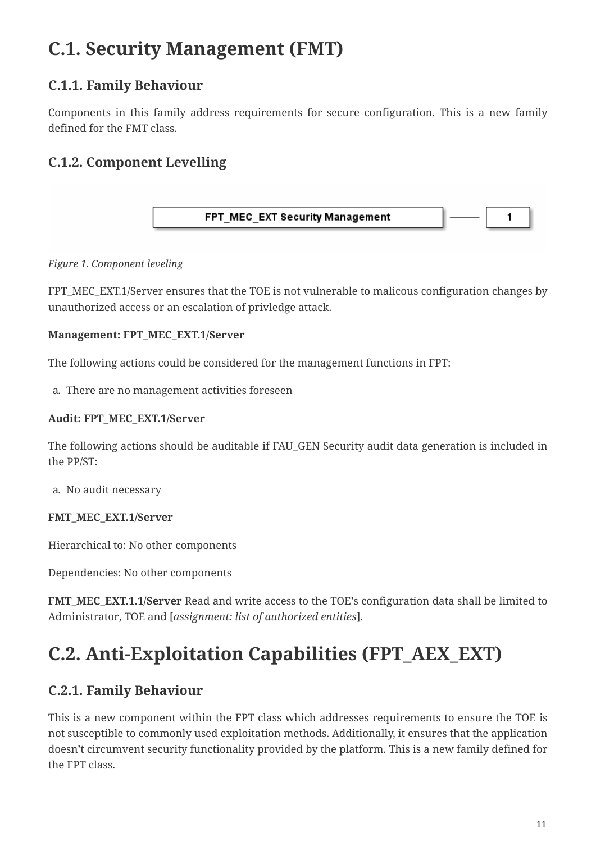## <span id="page-10-0"></span>**C.1. Security Management (FMT)**

### <span id="page-10-1"></span>**C.1.1. Family Behaviour**

Components in this family address requirements for secure configuration. This is a new family defined for the FMT class.

### <span id="page-10-2"></span>**C.1.2. Component Levelling**



#### *Figure 1. Component leveling*

FPT\_MEC\_EXT.1/Server ensures that the TOE is not vulnerable to malicous configuration changes by unauthorized access or an escalation of privledge attack.

#### **Management: FPT\_MEC\_EXT.1/Server**

The following actions could be considered for the management functions in FPT:

a. There are no management activities foreseen

#### **Audit: FPT\_MEC\_EXT.1/Server**

The following actions should be auditable if FAU\_GEN Security audit data generation is included in the PP/ST:

a. No audit necessary

#### **FMT\_MEC\_EXT.1/Server**

Hierarchical to: No other components

Dependencies: No other components

**FMT\_MEC\_EXT.1.1/Server** Read and write access to the TOE's configuration data shall be limited to Administrator, TOE and [*assignment: list of authorized entities*].

## <span id="page-10-3"></span>**C.2. Anti-Exploitation Capabilities (FPT\_AEX\_EXT)**

### <span id="page-10-4"></span>**C.2.1. Family Behaviour**

This is a new component within the FPT class which addresses requirements to ensure the TOE is not susceptible to commonly used exploitation methods. Additionally, it ensures that the application doesn't circumvent security functionality provided by the platform. This is a new family defined for the FPT class.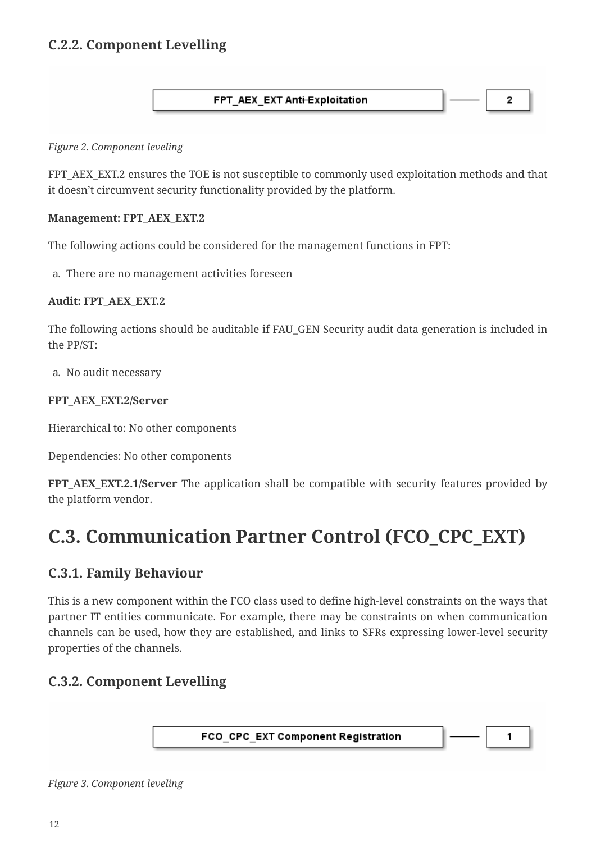### <span id="page-11-0"></span>**C.2.2. Component Levelling**

#### FPT AEX EXT Anti-Exploitation

2

#### *Figure 2. Component leveling*

FPT\_AEX\_EXT.2 ensures the TOE is not susceptible to commonly used exploitation methods and that it doesn't circumvent security functionality provided by the platform.

#### **Management: FPT\_AEX\_EXT.2**

The following actions could be considered for the management functions in FPT:

a. There are no management activities foreseen

#### **Audit: FPT\_AEX\_EXT.2**

The following actions should be auditable if FAU\_GEN Security audit data generation is included in the PP/ST:

a. No audit necessary

#### **FPT\_AEX\_EXT.2/Server**

Hierarchical to: No other components

Dependencies: No other components

**FPT\_AEX\_EXT.2.1/Server** The application shall be compatible with security features provided by the platform vendor.

## <span id="page-11-1"></span>**C.3. Communication Partner Control (FCO\_CPC\_EXT)**

### <span id="page-11-2"></span>**C.3.1. Family Behaviour**

This is a new component within the FCO class used to define high-level constraints on the ways that partner IT entities communicate. For example, there may be constraints on when communication channels can be used, how they are established, and links to SFRs expressing lower-level security properties of the channels.

### <span id="page-11-3"></span>**C.3.2. Component Levelling**



1